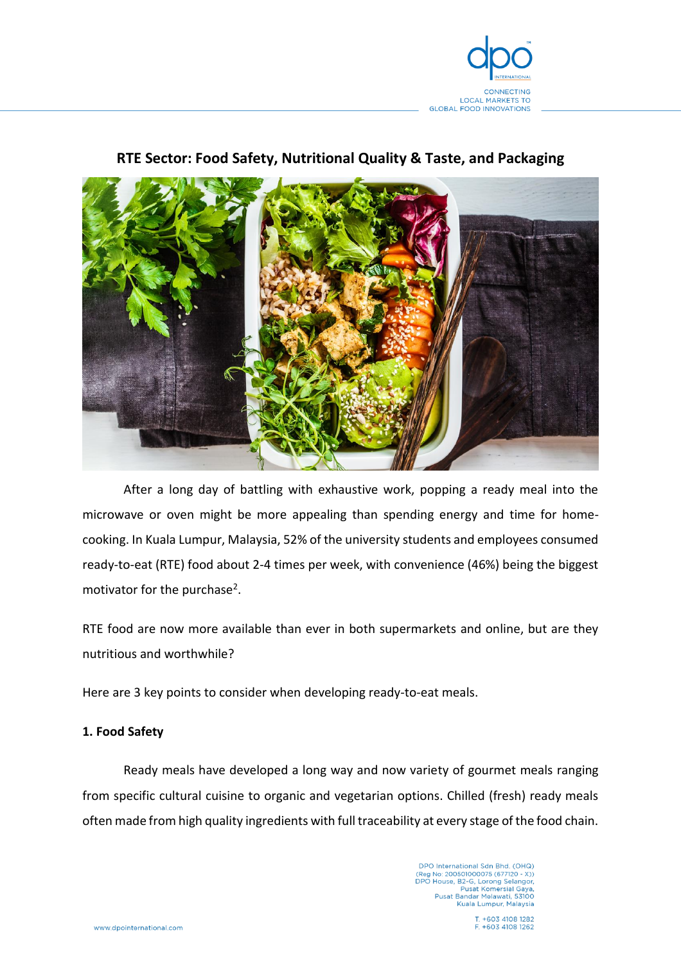

# **RTE Sector: Food Safety, Nutritional Quality & Taste, and Packaging**

After a long day of battling with exhaustive work, popping a ready meal into the microwave or oven might be more appealing than spending energy and time for homecooking. In Kuala Lumpur, Malaysia, 52% of the university students and employees consumed ready-to-eat (RTE) food about 2-4 times per week, with convenience (46%) being the biggest motivator for the purchase<sup>2</sup>.

RTE food are now more available than ever in both supermarkets and online, but are they nutritious and worthwhile?

Here are 3 key points to consider when developing ready-to-eat meals.

# **1. Food Safety**

Ready meals have developed a long way and now variety of gourmet meals ranging from specific cultural cuisine to organic and vegetarian options. Chilled (fresh) ready meals often made from high quality ingredients with full traceability at every stage of the food chain.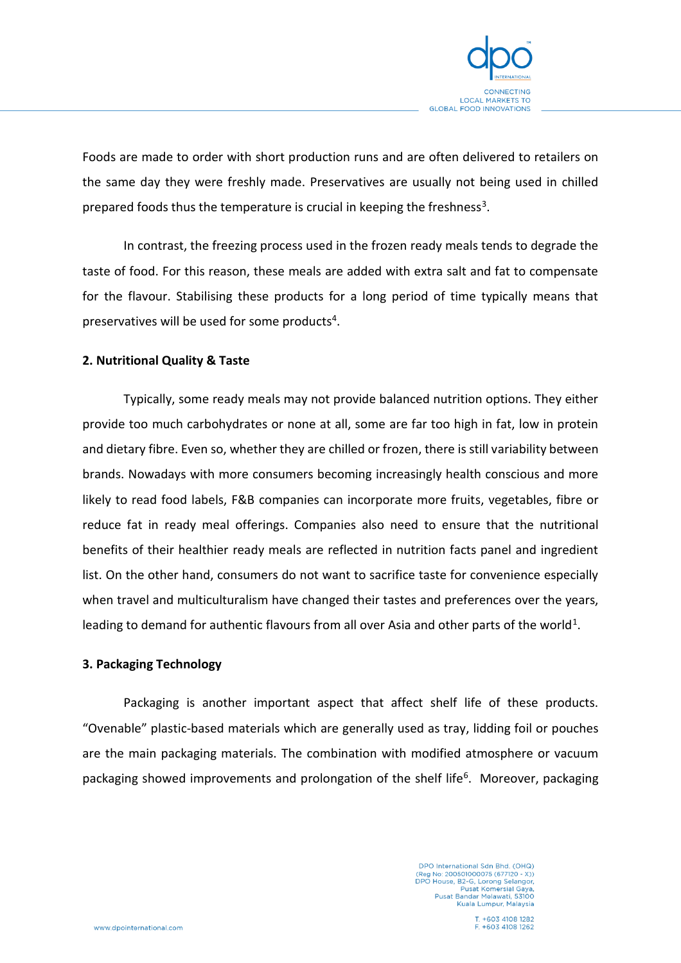

Foods are made to order with short production runs and are often delivered to retailers on the same day they were freshly made. Preservatives are usually not being used in chilled prepared foods thus the temperature is crucial in keeping the freshness<sup>3</sup>.

In contrast, the freezing process used in the frozen ready meals tends to degrade the taste of food. For this reason, these meals are added with extra salt and fat to compensate for the flavour. Stabilising these products for a long period of time typically means that preservatives will be used for some products<sup>4</sup>.

# **2. Nutritional Quality & Taste**

Typically, some ready meals may not provide balanced nutrition options. They either provide too much carbohydrates or none at all, some are far too high in fat, low in protein and dietary fibre. Even so, whether they are chilled or frozen, there is still variability between brands. Nowadays with more consumers becoming increasingly health conscious and more likely to read food labels, F&B companies can incorporate more fruits, vegetables, fibre or reduce fat in ready meal offerings. Companies also need to ensure that the nutritional benefits of their healthier ready meals are reflected in nutrition facts panel and ingredient list. On the other hand, consumers do not want to sacrifice taste for convenience especially when travel and multiculturalism have changed their tastes and preferences over the years, leading to demand for authentic flavours from all over Asia and other parts of the world<sup>1</sup>.

## **3. Packaging Technology**

Packaging is another important aspect that affect shelf life of these products. "Ovenable" plastic-based materials which are generally used as tray, lidding foil or pouches are the main packaging materials. The combination with modified atmosphere or vacuum packaging showed improvements and prolongation of the shelf life<sup>6</sup>. Moreover, packaging

> DPO International Sdn Bhd. (OHQ)<br>(Reg No: 200501000075 (677120 - X))<br>DPO House, B2-G, Lorong Selangor, Pusat Komersial Gaya,<br>Pusat Bandar Melawati, 53100 Kuala Lumpur, Malaysia